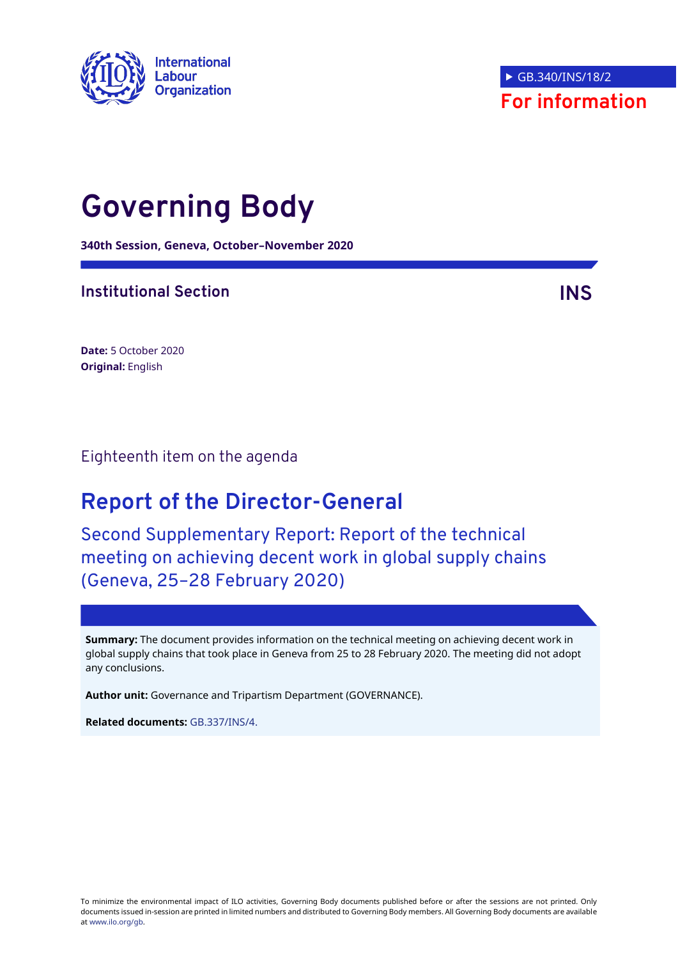

# **Governing Body**

**340th Session, Geneva, October–November 2020**

### **Institutional Section INS**

**Date:** 5 October 2020 **Original:** English

Eighteenth item on the agenda

## **Report of the Director-General**

Second Supplementary Report: Report of the technical meeting on achieving decent work in global supply chains (Geneva, 25–28 February 2020)

**Summary:** The document provides information on the technical meeting on achieving decent work in global supply chains that took place in Geneva from 25 to 28 February 2020. The meeting did not adopt any conclusions.

**Author unit:** Governance and Tripartism Department (GOVERNANCE).

**Related documents:** [GB.337/INS/4.](https://www.ilo.org/wcmsp5/groups/public/---ed_norm/---relconf/documents/meetingdocument/wcms_722485.pdf)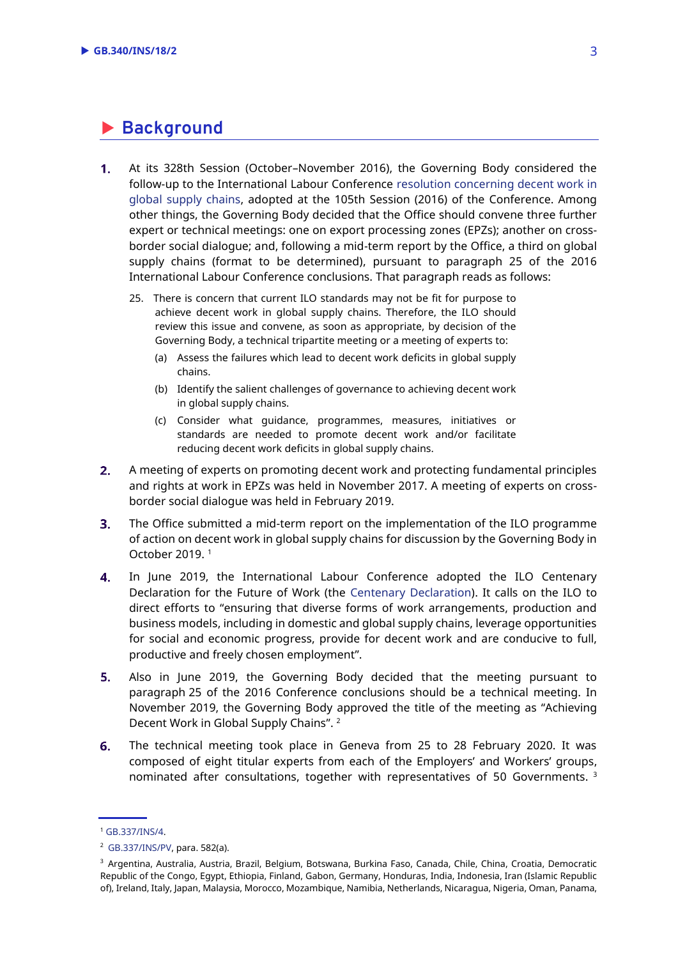### **Background**

- $1.$ At its 328th Session (October–November 2016), the Governing Body considered the follow-up to the International Labour Conference [resolution concerning decent work in](https://www.ilo.org/wcmsp5/groups/public/---ed_norm/---relconf/documents/meetingdocument/wcms_497555.pdf)  [global supply chains,](https://www.ilo.org/wcmsp5/groups/public/---ed_norm/---relconf/documents/meetingdocument/wcms_497555.pdf) adopted at the 105th Session (2016) of the Conference. Among other things, the Governing Body decided that the Office should convene three further expert or technical meetings: one on export processing zones (EPZs); another on crossborder social dialogue; and, following a mid-term report by the Office, a third on global supply chains (format to be determined), pursuant to paragraph 25 of the 2016 International Labour Conference conclusions. That paragraph reads as follows:
	- 25. There is concern that current ILO standards may not be fit for purpose to achieve decent work in global supply chains. Therefore, the ILO should review this issue and convene, as soon as appropriate, by decision of the Governing Body, a technical tripartite meeting or a meeting of experts to:
		- (a) Assess the failures which lead to decent work deficits in global supply chains.
		- (b) Identify the salient challenges of governance to achieving decent work in global supply chains.
		- (c) Consider what guidance, programmes, measures, initiatives or standards are needed to promote decent work and/or facilitate reducing decent work deficits in global supply chains.
- $2.$ A meeting of experts on promoting decent work and protecting fundamental principles and rights at work in EPZs was held in November 2017. A meeting of experts on crossborder social dialogue was held in February 2019.
- $3.$ The Office submitted a mid-term report on the implementation of the ILO programme of action on decent work in global supply chains for discussion by the Governing Body in October 2019. <sup>1</sup>
- $4.$ In June 2019, the International Labour Conference adopted the ILO Centenary Declaration for the Future of Work (the [Centenary Declaration\)](https://www.ilo.org/wcmsp5/groups/public/@ed_norm/@relconf/documents/meetingdocument/wcms_711674.pdf). It calls on the ILO to direct efforts to "ensuring that diverse forms of work arrangements, production and business models, including in domestic and global supply chains, leverage opportunities for social and economic progress, provide for decent work and are conducive to full, productive and freely chosen employment".
- 5. Also in June 2019, the Governing Body decided that the meeting pursuant to paragraph 25 of the 2016 Conference conclusions should be a technical meeting. In November 2019, the Governing Body approved the title of the meeting as "Achieving Decent Work in Global Supply Chains". <sup>2</sup>
- 6. The technical meeting took place in Geneva from 25 to 28 February 2020. It was composed of eight titular experts from each of the Employers' and Workers' groups, nominated after consultations, together with representatives of 50 Governments. <sup>3</sup>

<sup>1</sup> [GB.337/INS/4.](https://www.ilo.org/wcmsp5/groups/public/---ed_norm/---relconf/documents/meetingdocument/wcms_722485.pdf)

<sup>2</sup> [GB.337/INS/PV,](https://www.ilo.org/wcmsp5/groups/public/---ed_norm/---relconf/documents/meetingdocument/wcms_731616.pdf) para. 582(a).

<sup>3</sup> Argentina, Australia, Austria, Brazil, Belgium, Botswana, Burkina Faso, Canada, Chile, China, Croatia, Democratic Republic of the Congo, Egypt, Ethiopia, Finland, Gabon, Germany, Honduras, India, Indonesia, Iran (Islamic Republic of), Ireland, Italy, Japan, Malaysia, Morocco, Mozambique, Namibia, Netherlands, Nicaragua, Nigeria, Oman, Panama,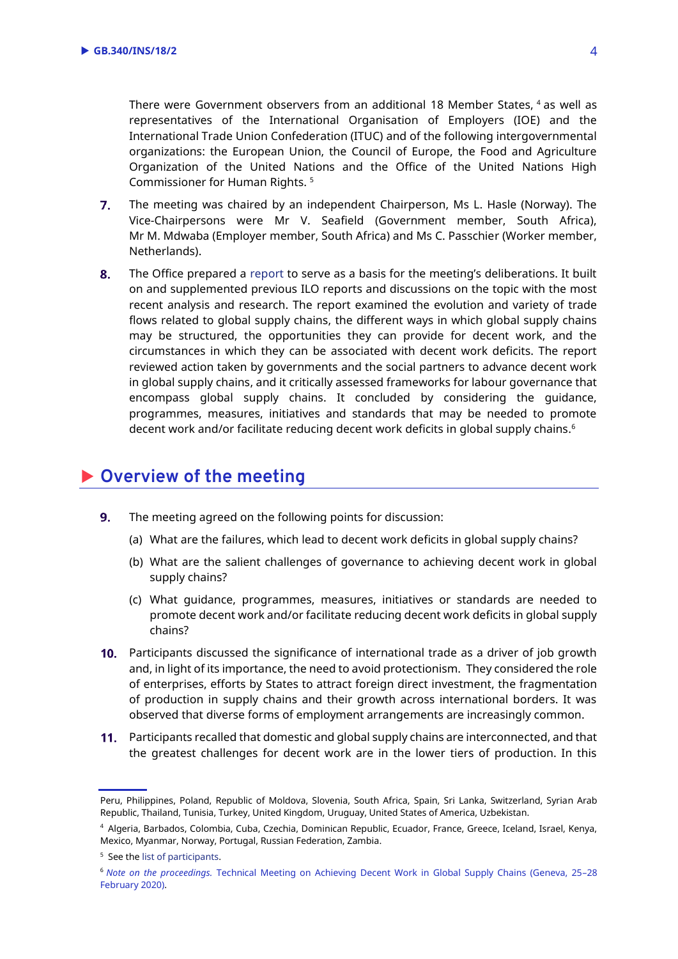There were Government observers from an additional 18 Member States, <sup>4</sup> as well as representatives of the International Organisation of Employers (IOE) and the International Trade Union Confederation (ITUC) and of the following intergovernmental organizations: the European Union, the Council of Europe, the Food and Agriculture Organization of the United Nations and the Office of the United Nations High Commissioner for Human Rights. <sup>5</sup>

- $7.$ The meeting was chaired by an independent Chairperson, Ms L. Hasle (Norway). The Vice-Chairpersons were Mr V. Seafield (Government member, South Africa), Mr M. Mdwaba (Employer member, South Africa) and Ms C. Passchier (Worker member, Netherlands).
- 8. The Office prepared a [report](https://www.ilo.org/wcmsp5/groups/public/---ed_dialogue/---dialogue/documents/meetingdocument/wcms_736541.pdf) to serve as a basis for the meeting's deliberations. It built on and supplemented previous ILO reports and discussions on the topic with the most recent analysis and research. The report examined the evolution and variety of trade flows related to global supply chains, the different ways in which global supply chains may be structured, the opportunities they can provide for decent work, and the circumstances in which they can be associated with decent work deficits. The report reviewed action taken by governments and the social partners to advance decent work in global supply chains, and it critically assessed frameworks for labour governance that encompass global supply chains. It concluded by considering the guidance, programmes, measures, initiatives and standards that may be needed to promote decent work and/or facilitate reducing decent work deficits in global supply chains. 6

#### **Overview of the meeting**

- $9.$ The meeting agreed on the following points for discussion:
	- (a) What are the failures, which lead to decent work deficits in global supply chains?
	- (b) What are the salient challenges of governance to achieving decent work in global supply chains?
	- (c) What guidance, programmes, measures, initiatives or standards are needed to promote decent work and/or facilitate reducing decent work deficits in global supply chains?
- 10. Participants discussed the significance of international trade as a driver of job growth and, in light of its importance, the need to avoid protectionism. They considered the role of enterprises, efforts by States to attract foreign direct investment, the fragmentation of production in supply chains and their growth across international borders. It was observed that diverse forms of employment arrangements are increasingly common.
- 11. Participants recalled that domestic and global supply chains are interconnected, and that the greatest challenges for decent work are in the lower tiers of production. In this

Peru, Philippines, Poland, Republic of Moldova, Slovenia, South Africa, Spain, Sri Lanka, Switzerland, Syrian Arab Republic, Thailand, Tunisia, Turkey, United Kingdom, Uruguay, United States of America, Uzbekistan.

<sup>4</sup> Algeria, Barbados, Colombia, Cuba, Czechia, Dominican Republic, Ecuador, France, Greece, Iceland, Israel, Kenya, Mexico, Myanmar, Norway, Portugal, Russian Federation, Zambia.

<sup>5</sup> See th[e list of participants.](https://www.ilo.org/wcmsp5/groups/public/---ed_dialogue/---dialogue/documents/meetingdocument/wcms_752759.pdf)

<sup>6</sup> *Note on the proceedings.* [Technical Meeting on Achieving Decent Work in Global Supply Chains \(Geneva, 25](https://staging.ilo.org/wcmsp1/groups/public/---ed_dialogue/---dialogue/documents/meetingdocument/wcms_757101.pdf)–28 [February 2020\).](https://staging.ilo.org/wcmsp1/groups/public/---ed_dialogue/---dialogue/documents/meetingdocument/wcms_757101.pdf)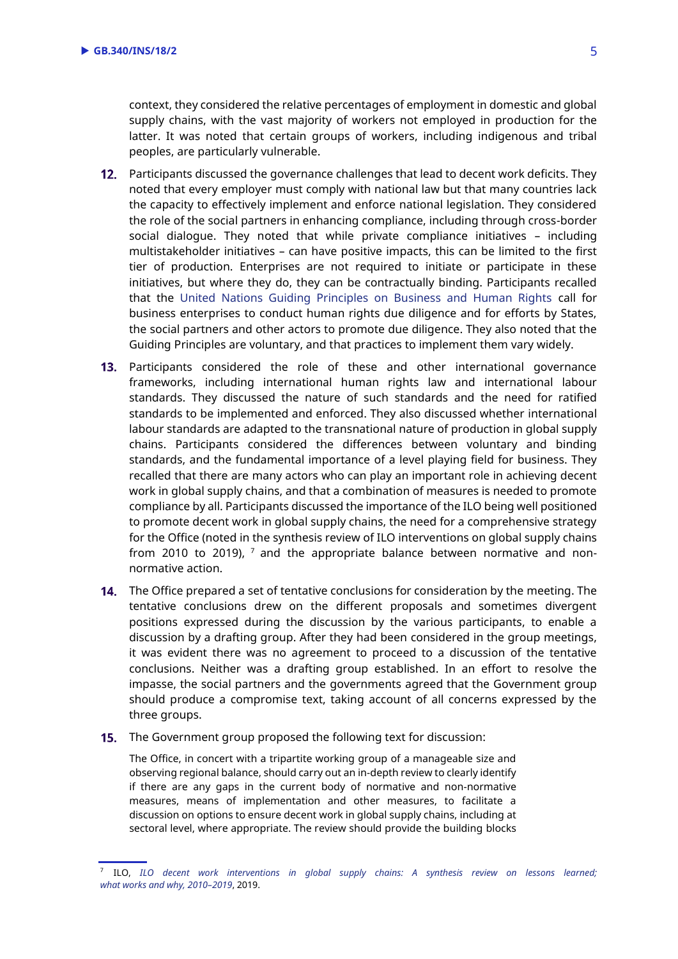context, they considered the relative percentages of employment in domestic and global supply chains, with the vast majority of workers not employed in production for the latter. It was noted that certain groups of workers, including indigenous and tribal peoples, are particularly vulnerable.

- 12. Participants discussed the governance challenges that lead to decent work deficits. They noted that every employer must comply with national law but that many countries lack the capacity to effectively implement and enforce national legislation. They considered the role of the social partners in enhancing compliance, including through cross-border social dialogue. They noted that while private compliance initiatives – including multistakeholder initiatives – can have positive impacts, this can be limited to the first tier of production. Enterprises are not required to initiate or participate in these initiatives, but where they do, they can be contractually binding. Participants recalled that the [United Nations Guiding Principles on Business and Human Rights](https://www.ohchr.org/documents/publications/guidingprinciplesbusinesshr_en.pdf) call for business enterprises to conduct human rights due diligence and for efforts by States, the social partners and other actors to promote due diligence. They also noted that the Guiding Principles are voluntary, and that practices to implement them vary widely.
- 13. Participants considered the role of these and other international governance frameworks, including international human rights law and international labour standards. They discussed the nature of such standards and the need for ratified standards to be implemented and enforced. They also discussed whether international labour standards are adapted to the transnational nature of production in global supply chains. Participants considered the differences between voluntary and binding standards, and the fundamental importance of a level playing field for business. They recalled that there are many actors who can play an important role in achieving decent work in global supply chains, and that a combination of measures is needed to promote compliance by all. Participants discussed the importance of the ILO being well positioned to promote decent work in global supply chains, the need for a comprehensive strategy for the Office (noted in the synthesis review of ILO interventions on global supply chains from 2010 to 2019),  $<sup>7</sup>$  and the appropriate balance between normative and non-</sup> normative action.
- 14. The Office prepared a set of tentative conclusions for consideration by the meeting. The tentative conclusions drew on the different proposals and sometimes divergent positions expressed during the discussion by the various participants, to enable a discussion by a drafting group. After they had been considered in the group meetings, it was evident there was no agreement to proceed to a discussion of the tentative conclusions. Neither was a drafting group established. In an effort to resolve the impasse, the social partners and the governments agreed that the Government group should produce a compromise text, taking account of all concerns expressed by the three groups.
- **15.** The Government group proposed the following text for discussion:

The Office, in concert with a tripartite working group of a manageable size and observing regional balance, should carry out an in-depth review to clearly identify if there are any gaps in the current body of normative and non-normative measures, means of implementation and other measures, to facilitate a discussion on options to ensure decent work in global supply chains, including at sectoral level, where appropriate. The review should provide the building blocks

<sup>7</sup> ILO, *[ILO decent work interventions in global supply chains: A synthesis review on lessons learned;](https://www.ilo.org/wcmsp5/groups/public/---ed_mas/---eval/documents/publication/wcms_722176.pdf) [what works and why, 2010](https://www.ilo.org/wcmsp5/groups/public/---ed_mas/---eval/documents/publication/wcms_722176.pdf)–2019*, 2019.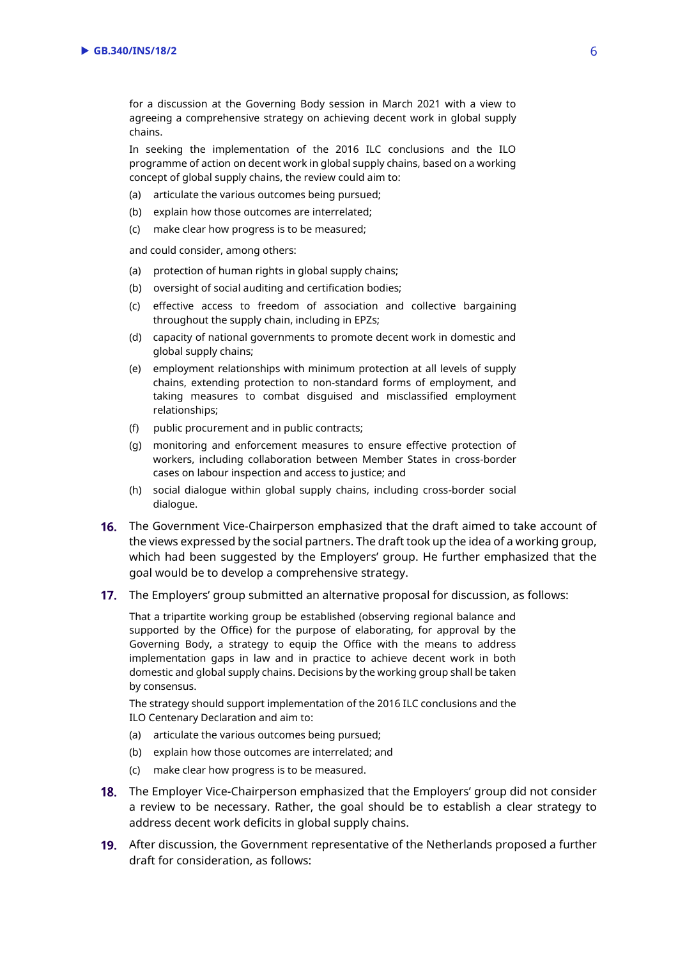for a discussion at the Governing Body session in March 2021 with a view to agreeing a comprehensive strategy on achieving decent work in global supply chains.

In seeking the implementation of the 2016 ILC conclusions and the ILO programme of action on decent work in global supply chains, based on a working concept of global supply chains, the review could aim to:

- (a) articulate the various outcomes being pursued;
- (b) explain how those outcomes are interrelated;
- (c) make clear how progress is to be measured;

and could consider, among others:

- (a) protection of human rights in global supply chains;
- (b) oversight of social auditing and certification bodies;
- (c) effective access to freedom of association and collective bargaining throughout the supply chain, including in EPZs;
- (d) capacity of national governments to promote decent work in domestic and global supply chains;
- (e) employment relationships with minimum protection at all levels of supply chains, extending protection to non-standard forms of employment, and taking measures to combat disguised and misclassified employment relationships;
- (f) public procurement and in public contracts;
- (g) monitoring and enforcement measures to ensure effective protection of workers, including collaboration between Member States in cross-border cases on labour inspection and access to justice; and
- (h) social dialogue within global supply chains, including cross-border social dialogue.
- **16.** The Government Vice-Chairperson emphasized that the draft aimed to take account of the views expressed by the social partners. The draft took up the idea of a working group, which had been suggested by the Employers' group. He further emphasized that the goal would be to develop a comprehensive strategy.
- 17. The Employers' group submitted an alternative proposal for discussion, as follows:

That a tripartite working group be established (observing regional balance and supported by the Office) for the purpose of elaborating, for approval by the Governing Body, a strategy to equip the Office with the means to address implementation gaps in law and in practice to achieve decent work in both domestic and global supply chains. Decisions by the working group shall be taken by consensus.

The strategy should support implementation of the 2016 ILC conclusions and the ILO Centenary Declaration and aim to:

- (a) articulate the various outcomes being pursued;
- (b) explain how those outcomes are interrelated; and
- (c) make clear how progress is to be measured.
- **18.** The Employer Vice-Chairperson emphasized that the Employers' group did not consider a review to be necessary. Rather, the goal should be to establish a clear strategy to address decent work deficits in global supply chains.
- After discussion, the Government representative of the Netherlands proposed a further draft for consideration, as follows: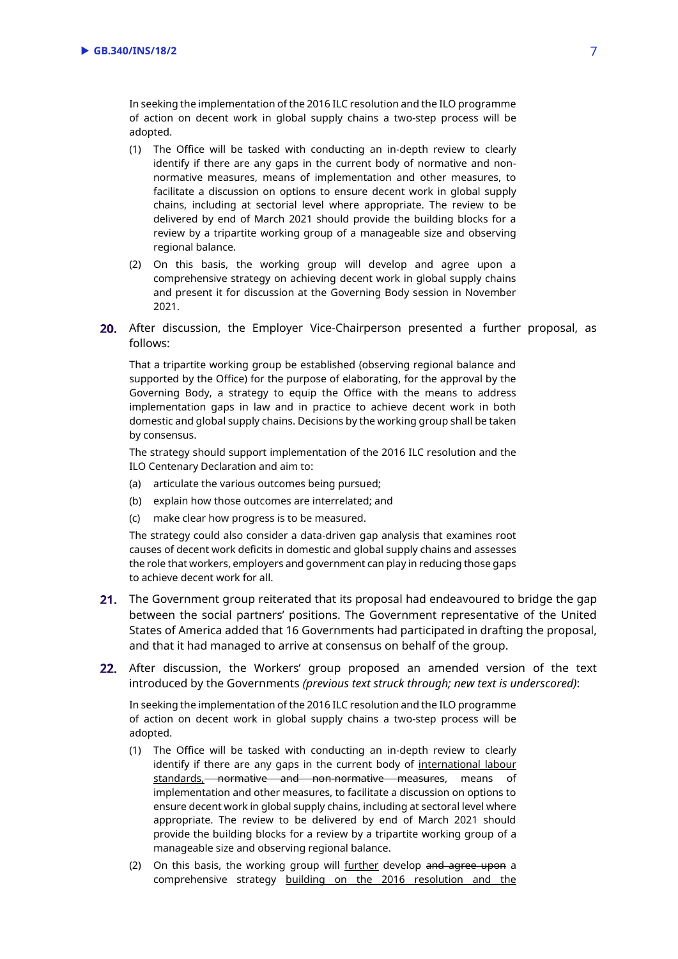In seeking the implementation of the 2016 ILC resolution and the ILO programme of action on decent work in global supply chains a two-step process will be adopted.

- (1) The Office will be tasked with conducting an in-depth review to clearly identify if there are any gaps in the current body of normative and nonnormative measures, means of implementation and other measures, to facilitate a discussion on options to ensure decent work in global supply chains, including at sectorial level where appropriate. The review to be delivered by end of March 2021 should provide the building blocks for a review by a tripartite working group of a manageable size and observing regional balance.
- (2) On this basis, the working group will develop and agree upon a comprehensive strategy on achieving decent work in global supply chains and present it for discussion at the Governing Body session in November 2021.
- 20. After discussion, the Employer Vice-Chairperson presented a further proposal, as follows:

That a tripartite working group be established (observing regional balance and supported by the Office) for the purpose of elaborating, for the approval by the Governing Body, a strategy to equip the Office with the means to address implementation gaps in law and in practice to achieve decent work in both domestic and global supply chains. Decisions by the working group shall be taken by consensus.

The strategy should support implementation of the 2016 ILC resolution and the ILO Centenary Declaration and aim to:

- (a) articulate the various outcomes being pursued;
- (b) explain how those outcomes are interrelated; and
- (c) make clear how progress is to be measured.

The strategy could also consider a data-driven gap analysis that examines root causes of decent work deficits in domestic and global supply chains and assesses the role that workers, employers and government can play in reducing those gaps to achieve decent work for all.

- 21. The Government group reiterated that its proposal had endeavoured to bridge the gap between the social partners' positions. The Government representative of the United States of America added that 16 Governments had participated in drafting the proposal, and that it had managed to arrive at consensus on behalf of the group.
- 22. After discussion, the Workers' group proposed an amended version of the text introduced by the Governments *(previous text struck through; new text is underscored)*:

In seeking the implementation of the 2016 ILC resolution and the ILO programme of action on decent work in global supply chains a two-step process will be adopted.

- (1) The Office will be tasked with conducting an in-depth review to clearly identify if there are any gaps in the current body of international labour standards, normative and non-normative measures, means of implementation and other measures, to facilitate a discussion on options to ensure decent work in global supply chains, including at sectoral level where appropriate. The review to be delivered by end of March 2021 should provide the building blocks for a review by a tripartite working group of a manageable size and observing regional balance.
- (2) On this basis, the working group will further develop and agree upon a comprehensive strategy building on the 2016 resolution and the